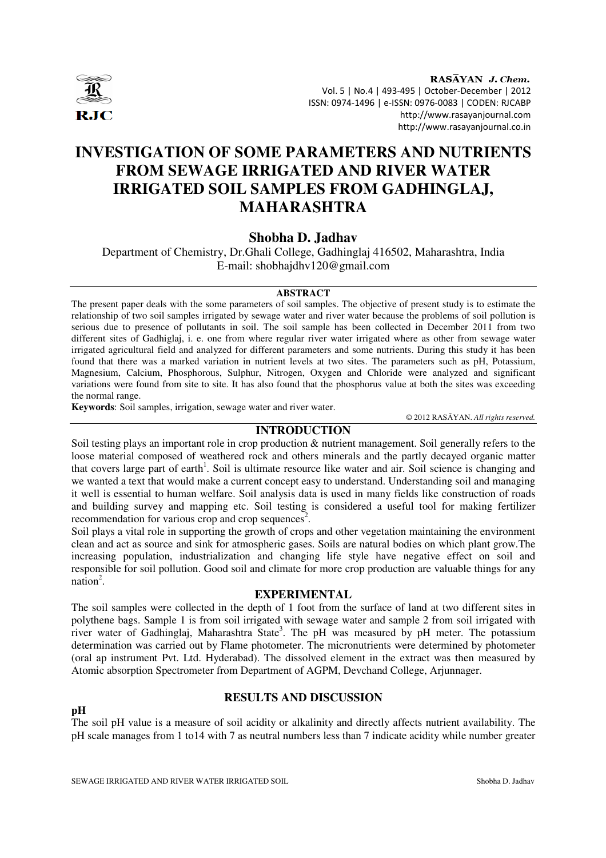

RASAYAN J. Chem. Vol. 5 | No.4 | 493-495 | October-December | 2012 ISSN: 0974-1496 | e-ISSN: 0976-0083 | CODEN: RJCABP http://www.rasayanjournal.com http://www.rasayanjournal.co.in

# **INVESTIGATION OF SOME PARAMETERS AND NUTRIENTS FROM SEWAGE IRRIGATED AND RIVER WATER IRRIGATED SOIL SAMPLES FROM GADHINGLAJ, MAHARASHTRA**

## **Shobha D. Jadhav**

Department of Chemistry, Dr.Ghali College, Gadhinglaj 416502, Maharashtra, India E-mail: shobhajdhv120@gmail.com

#### **ABSTRACT**

The present paper deals with the some parameters of soil samples. The objective of present study is to estimate the relationship of two soil samples irrigated by sewage water and river water because the problems of soil pollution is serious due to presence of pollutants in soil. The soil sample has been collected in December 2011 from two different sites of Gadhiglaj, i. e. one from where regular river water irrigated where as other from sewage water irrigated agricultural field and analyzed for different parameters and some nutrients. During this study it has been found that there was a marked variation in nutrient levels at two sites. The parameters such as pH, Potassium, Magnesium, Calcium, Phosphorous, Sulphur, Nitrogen, Oxygen and Chloride were analyzed and significant variations were found from site to site. It has also found that the phosphorus value at both the sites was exceeding the normal range.

**Keywords**: Soil samples, irrigation, sewage water and river water.

© 2012 RASĀYAN. *All rights reserved.*

## **INTRODUCTION**

Soil testing plays an important role in crop production & nutrient management. Soil generally refers to the loose material composed of weathered rock and others minerals and the partly decayed organic matter that covers large part of earth<sup>1</sup>. Soil is ultimate resource like water and air. Soil science is changing and we wanted a text that would make a current concept easy to understand. Understanding soil and managing it well is essential to human welfare. Soil analysis data is used in many fields like construction of roads and building survey and mapping etc. Soil testing is considered a useful tool for making fertilizer recommendation for various crop and crop sequences<sup>2</sup>.

Soil plays a vital role in supporting the growth of crops and other vegetation maintaining the environment clean and act as source and sink for atmospheric gases. Soils are natural bodies on which plant grow.The increasing population, industrialization and changing life style have negative effect on soil and responsible for soil pollution. Good soil and climate for more crop production are valuable things for any  $nation<sup>2</sup>$ .

### **EXPERIMENTAL**

The soil samples were collected in the depth of 1 foot from the surface of land at two different sites in polythene bags. Sample 1 is from soil irrigated with sewage water and sample 2 from soil irrigated with river water of Gadhinglaj, Maharashtra State<sup>3</sup>. The pH was measured by pH meter. The potassium determination was carried out by Flame photometer. The micronutrients were determined by photometer (oral ap instrument Pvt. Ltd. Hyderabad). The dissolved element in the extract was then measured by Atomic absorption Spectrometer from Department of AGPM, Devchand College, Arjunnager.

## **RESULTS AND DISCUSSION**

The soil pH value is a measure of soil acidity or alkalinity and directly affects nutrient availability. The pH scale manages from 1 to14 with 7 as neutral numbers less than 7 indicate acidity while number greater

**pH**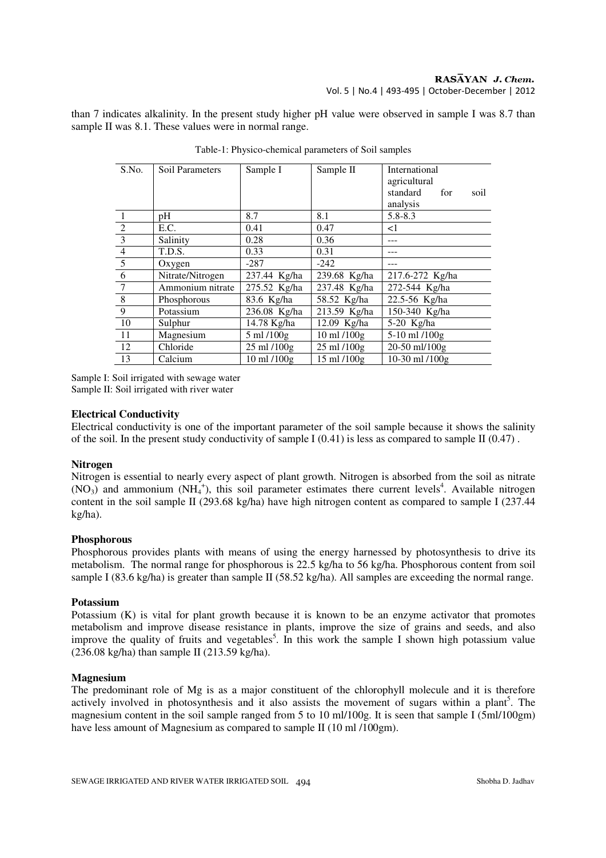#### $RAS\overline{AYAN}$  J. Chem. Vol. 5 | No.4 | 493-495 | October-December | 2012

than 7 indicates alkalinity. In the present study higher pH value were observed in sample I was 8.7 than sample II was 8.1. These values were in normal range.

| S.No.           | <b>Soil Parameters</b> | Sample I     | Sample II                       | International            |
|-----------------|------------------------|--------------|---------------------------------|--------------------------|
|                 |                        |              |                                 | agricultural<br>standard |
|                 |                        |              |                                 | for<br>soil<br>analysis  |
|                 | pH                     | 8.7          | 8.1                             | $5.8 - 8.3$              |
| $\overline{2}$  | E.C.                   | 0.41         | 0.47                            | $\leq$ 1                 |
| $\overline{3}$  | Salinity               | 0.28         | 0.36                            |                          |
| $\overline{4}$  | T.D.S.                 | 0.33         | 0.31                            |                          |
| $\overline{5}$  | Oxygen                 | $-287$       | $-242$                          |                          |
| 6               | Nitrate/Nitrogen       | 237.44 Kg/ha | 239.68 Kg/ha                    | 217.6-272 Kg/ha          |
| $7\overline{ }$ | Ammonium nitrate       | 275.52 Kg/ha | 237.48 Kg/ha                    | 272-544 Kg/ha            |
| $\overline{8}$  | Phosphorous            | 83.6 Kg/ha   | 58.52 Kg/ha                     | 22.5-56 Kg/ha            |
| 9               | Potassium              | 236.08 Kg/ha | 213.59 Kg/ha                    | 150-340 Kg/ha            |
| 10              | Sulphur                | 14.78 Kg/ha  | 12.09 Kg/ha                     | 5-20 Kg/ha               |
| 11              | Magnesium              | 5 ml /100g   | 10 ml /100g                     | 5-10 ml /100g            |
| 12              | Chloride               | 25 ml /100g  | $25 \text{ ml} / 100 \text{ g}$ | 20-50 ml/100g            |
| 13              | Calcium                | 10 ml /100g  | 15 ml /100g                     | $10-30$ ml $/100g$       |

Table-1: Physico-chemical parameters of Soil samples

Sample I: Soil irrigated with sewage water Sample II: Soil irrigated with river water

#### **Electrical Conductivity**

Electrical conductivity is one of the important parameter of the soil sample because it shows the salinity of the soil. In the present study conductivity of sample I (0.41) is less as compared to sample II (0.47).

#### **Nitrogen**

Nitrogen is essential to nearly every aspect of plant growth. Nitrogen is absorbed from the soil as nitrate  $(NO<sub>3</sub>)$  and ammonium  $(NH<sub>4</sub><sup>+</sup>)$ , this soil parameter estimates there current levels<sup>4</sup>. Available nitrogen content in the soil sample II (293.68 kg/ha) have high nitrogen content as compared to sample I (237.44 kg/ha).

#### **Phosphorous**

Phosphorous provides plants with means of using the energy harnessed by photosynthesis to drive its metabolism. The normal range for phosphorous is 22.5 kg/ha to 56 kg/ha. Phosphorous content from soil sample I (83.6 kg/ha) is greater than sample II (58.52 kg/ha). All samples are exceeding the normal range.

#### **Potassium**

Potassium (K) is vital for plant growth because it is known to be an enzyme activator that promotes metabolism and improve disease resistance in plants, improve the size of grains and seeds, and also improve the quality of fruits and vegetables<sup>5</sup>. In this work the sample I shown high potassium value (236.08 kg/ha) than sample II (213.59 kg/ha).

#### **Magnesium**

The predominant role of Mg is as a major constituent of the chlorophyll molecule and it is therefore actively involved in photosynthesis and it also assists the movement of sugars within a plant<sup>5</sup>. The magnesium content in the soil sample ranged from 5 to 10 ml/100g. It is seen that sample I (5ml/100gm) have less amount of Magnesium as compared to sample II (10 ml /100gm).